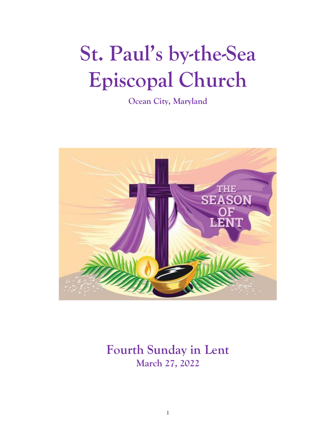# **St. Paul's by-the-Sea Episcopal Church**

**Ocean City, Maryland**



### **Fourth Sunday in Lent March 27, 2022**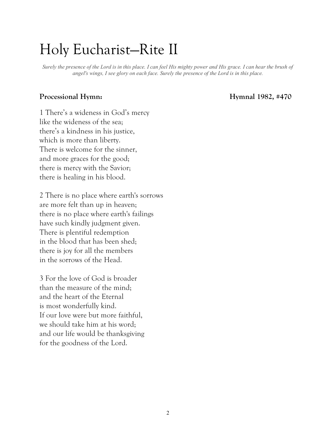## Holy Eucharist—Rite II

*Surely the presence of the Lord is in this place. I can feel His mighty power and His grace. I can hear the brush of angel's wings, I see glory on each face. Surely the presence of the Lord is in this place.*

#### Processional Hymn: **Hymnal 1982, #470**

1 There's a wideness in God's mercy like the wideness of the sea; there's a kindness in his justice, which is more than liberty. There is welcome for the sinner, and more graces for the good; there is mercy with the Savior; there is healing in his blood.

2 There is no place where earth's sorrows are more felt than up in heaven; there is no place where earth's failings have such kindly judgment given. There is plentiful redemption in the blood that has been shed; there is joy for all the members in the sorrows of the Head.

3 For the love of God is broader than the measure of the mind; and the heart of the Eternal is most wonderfully kind. If our love were but more faithful, we should take him at his word; and our life would be thanksgiving for the goodness of the Lord.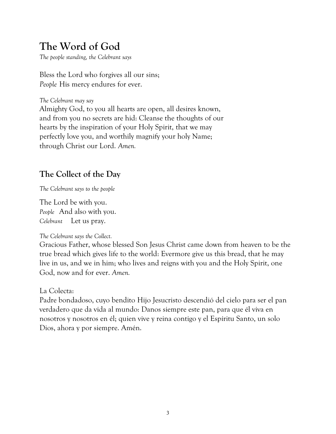### **The Word of God**

*The people standing, the Celebrant says*

Bless the Lord who forgives all our sins; *People* His mercy endures for ever.

*The Celebrant may say*

Almighty God, to you all hearts are open, all desires known, and from you no secrets are hid: Cleanse the thoughts of our hearts by the inspiration of your Holy Spirit, that we may perfectly love you, and worthily magnify your holy Name; through Christ our Lord. *Amen.*

#### **The Collect of the Day**

*The Celebrant says to the people*

The Lord be with you. *People* And also with you. *Celebrant* Let us pray.

#### *The Celebrant says the Collect.*

Gracious Father, whose blessed Son Jesus Christ came down from heaven to be the true bread which gives life to the world: Evermore give us this bread, that he may live in us, and we in him; who lives and reigns with you and the Holy Spirit, one God, now and for ever. *Amen.*

La Colecta:

Padre bondadoso, cuyo bendito Hijo Jesucristo descendió del cielo para ser el pan verdadero que da vida al mundo: Danos siempre este pan, para que él viva en nosotros y nosotros en él; quien vive y reina contigo y el Espíritu Santo, un solo Dios, ahora y por siempre. Amén.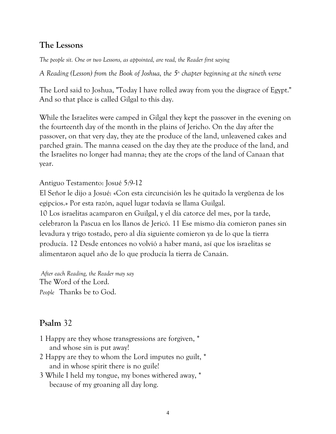#### **The Lessons**

*The people sit. One or two Lessons, as appointed, are read, the Reader first saying*

*A Reading (Lesson) from the Book of Joshua, the 5 th chapter beginning at the nineth verse*

The Lord said to Joshua, "Today I have rolled away from you the disgrace of Egypt." And so that place is called Gilgal to this day.

While the Israelites were camped in Gilgal they kept the passover in the evening on the fourteenth day of the month in the plains of Jericho. On the day after the passover, on that very day, they ate the produce of the land, unleavened cakes and parched grain. The manna ceased on the day they ate the produce of the land, and the Israelites no longer had manna; they ate the crops of the land of Canaan that year.

Antiguo Testamento: Josué 5:9-12

El Señor le dijo a Josué: «Con esta circuncisión les he quitado la vergüenza de los egipcios.» Por esta razón, aquel lugar todavía se llama Guilgal.

10 Los israelitas acamparon en Guilgal, y el día catorce del mes, por la tarde, celebraron la Pascua en los llanos de Jericó. 11 Ese mismo día comieron panes sin levadura y trigo tostado, pero al día siguiente comieron ya de lo que la tierra producía. 12 Desde entonces no volvió a haber maná, así que los israelitas se alimentaron aquel año de lo que producía la tierra de Canaán.

*After each Reading, the Reader may say* The Word of the Lord. *People* Thanks be to God.

### **Psalm** 32

- 1 Happy are they whose transgressions are forgiven, \* and whose sin is put away!
- 2 Happy are they to whom the Lord imputes no guilt, \* and in whose spirit there is no guile!
- 3 While I held my tongue, my bones withered away, \* because of my groaning all day long.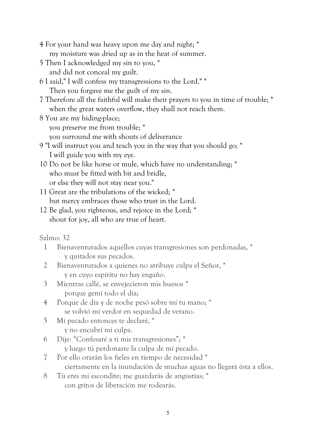- 4 For your hand was heavy upon me day and night; \* my moisture was dried up as in the heat of summer.
- 5 Then I acknowledged my sin to you, \* and did not conceal my guilt.
- 6 I said," I will confess my transgressions to the Lord." \* Then you forgave me the guilt of my sin.
- 7 Therefore all the faithful will make their prayers to you in time of trouble; \* when the great waters overflow, they shall not reach them.
- 8 You are my hiding-place;

you preserve me from trouble; \*

you surround me with shouts of deliverance

- 9 "I will instruct you and teach you in the way that you should go; \* I will guide you with my eye.
- 10 Do not be like horse or mule, which have no understanding; \* who must be fitted with bit and bridle, or else they will not stay near you."
- 11 Great are the tribulations of the wicked; \* but mercy embraces those who trust in the Lord.
- 12 Be glad, you righteous, and rejoice in the Lord; \* shout for joy, all who are true of heart.

Salmo: 32

- 1 Bienaventurados aquéllos cuyas transgresiones son perdonadas, \* y quitados sus pecados.
- 2 Bienaventurados a quienes no atribuye culpa el Señor, \* y en cuyo espíritu no hay engaño.
- 3 Mientras callé, se envejecieron mis huesos \* porque gemí todo el día;
- 4 Porque de día y de noche pesó sobre mí tu mano; \* se volvió mi verdor en sequedad de verano.
- 5 Mi pecado entonces te declaré, \* y no encubrí mi culpa.
- 6 Dije: "Confesaré a ti mis transgresiones"; \* y luego tú perdonaste la culpa de mi pecado.
- 7 Por ello orarán los fieles en tiempo de necesidad \* ciertamente en la inundación de muchas aguas no llegará ésta a ellos.
- 8 Tú eres mi escondite; me guardarás de angustias; \* con gritos de liberación me rodearás.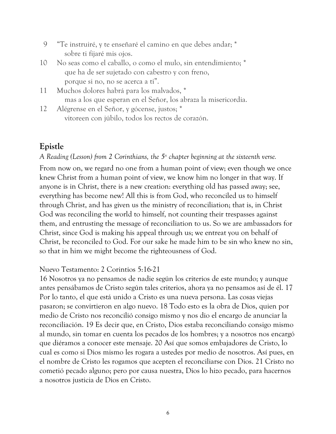- 9 "Te instruiré, y te enseñaré el camino en que debes andar; \* sobre ti fijaré mis ojos.
- 10 No seas como el caballo, o como el mulo, sin entendimiento; \* que ha de ser sujetado con cabestro y con freno, porque si no, no se acerca a ti".
- 11 Muchos dolores habrá para los malvados, \* mas a los que esperan en el Señor, los abraza la misericordia.
- 12 Alégrense en el Señor, y gócense, justos; \* vitoreen con júbilo, todos los rectos de corazón.

#### **Epistle**

#### *A Reading (Lesson) from 2 Corinthians, the 5 th chapter beginning at the sixteenth verse.*

From now on, we regard no one from a human point of view; even though we once knew Christ from a human point of view, we know him no longer in that way. If anyone is in Christ, there is a new creation: everything old has passed away; see, everything has become new! All this is from God, who reconciled us to himself through Christ, and has given us the ministry of reconciliation; that is, in Christ God was reconciling the world to himself, not counting their trespasses against them, and entrusting the message of reconciliation to us. So we are ambassadors for Christ, since God is making his appeal through us; we entreat you on behalf of Christ, be reconciled to God. For our sake he made him to be sin who knew no sin, so that in him we might become the righteousness of God.

#### Nuevo Testamento: 2 Corintios 5:16-21

16 Nosotros ya no pensamos de nadie según los criterios de este mundo; y aunque antes pensábamos de Cristo según tales criterios, ahora ya no pensamos así de él. 17 Por lo tanto, el que está unido a Cristo es una nueva persona. Las cosas viejas pasaron; se convirtieron en algo nuevo. 18 Todo esto es la obra de Dios, quien por medio de Cristo nos reconcilió consigo mismo y nos dio el encargo de anunciar la reconciliación. 19 Es decir que, en Cristo, Dios estaba reconciliando consigo mismo al mundo, sin tomar en cuenta los pecados de los hombres; y a nosotros nos encargó que diéramos a conocer este mensaje. 20 Así que somos embajadores de Cristo, lo cual es como si Dios mismo les rogara a ustedes por medio de nosotros. Así pues, en el nombre de Cristo les rogamos que acepten el reconciliarse con Dios. 21 Cristo no cometió pecado alguno; pero por causa nuestra, Dios lo hizo pecado, para hacernos a nosotros justicia de Dios en Cristo.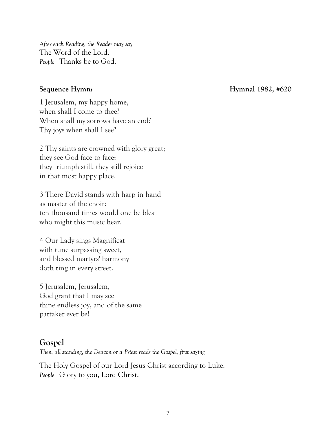*After each Reading, the Reader may say* The Word of the Lord. *People* Thanks be to God.

**Sequence Hymn: Hymnal 1982, #620**

1 Jerusalem, my happy home, when shall I come to thee? When shall my sorrows have an end? Thy joys when shall I see?

2 Thy saints are crowned with glory great; they see God face to face; they triumph still, they still rejoice in that most happy place.

3 There David stands with harp in hand as master of the choir: ten thousand times would one be blest who might this music hear.

4 Our Lady sings Magnificat with tune surpassing sweet, and blessed martyrs' harmony doth ring in every street.

5 Jerusalem, Jerusalem, God grant that I may see thine endless joy, and of the same partaker ever be!

#### **Gospel**

*Then, all standing, the Deacon or a Priest reads the Gospel, first saying*

The Holy Gospel of our Lord Jesus Christ according to Luke. *People* Glory to you, Lord Christ.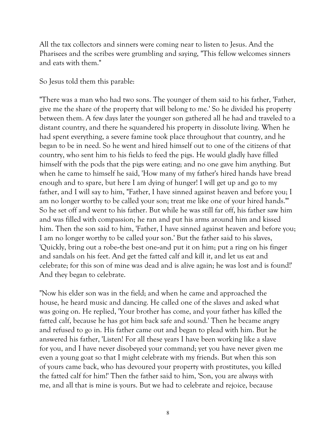All the tax collectors and sinners were coming near to listen to Jesus. And the Pharisees and the scribes were grumbling and saying, "This fellow welcomes sinners and eats with them."

So Jesus told them this parable:

"There was a man who had two sons. The younger of them said to his father, 'Father, give me the share of the property that will belong to me.' So he divided his property between them. A few days later the younger son gathered all he had and traveled to a distant country, and there he squandered his property in dissolute living. When he had spent everything, a severe famine took place throughout that country, and he began to be in need. So he went and hired himself out to one of the citizens of that country, who sent him to his fields to feed the pigs. He would gladly have filled himself with the pods that the pigs were eating; and no one gave him anything. But when he came to himself he said, 'How many of my father's hired hands have bread enough and to spare, but here I am dying of hunger! I will get up and go to my father, and I will say to him, "Father, I have sinned against heaven and before you; I am no longer worthy to be called your son; treat me like one of your hired hands."' So he set off and went to his father. But while he was still far off, his father saw him and was filled with compassion; he ran and put his arms around him and kissed him. Then the son said to him, 'Father, I have sinned against heaven and before you; I am no longer worthy to be called your son.' But the father said to his slaves, 'Quickly, bring out a robe--the best one--and put it on him; put a ring on his finger and sandals on his feet. And get the fatted calf and kill it, and let us eat and celebrate; for this son of mine was dead and is alive again; he was lost and is found!' And they began to celebrate.

"Now his elder son was in the field; and when he came and approached the house, he heard music and dancing. He called one of the slaves and asked what was going on. He replied, 'Your brother has come, and your father has killed the fatted calf, because he has got him back safe and sound.' Then he became angry and refused to go in. His father came out and began to plead with him. But he answered his father, 'Listen! For all these years I have been working like a slave for you, and I have never disobeyed your command; yet you have never given me even a young goat so that I might celebrate with my friends. But when this son of yours came back, who has devoured your property with prostitutes, you killed the fatted calf for him!' Then the father said to him, 'Son, you are always with me, and all that is mine is yours. But we had to celebrate and rejoice, because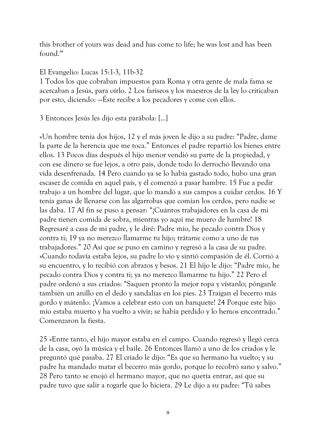this brother of yours was dead and has come to life; he was lost and has been found.'"

#### El Evangelio: Lucas 15:1-3, 11b-32

1 Todos los que cobraban impuestos para Roma y otra gente de mala fama se acercaban a Jesús, para oírlo. 2 Los fariseos y los maestros de la ley lo criticaban por esto, diciendo: —Éste recibe a los pecadores y come con ellos.

3 Entonces Jesús les dijo esta parábola: […]

«Un hombre tenía dos hijos, 12 y el más joven le dijo a su padre: "Padre, dame la parte de la herencia que me toca." Entonces el padre repartió los bienes entre ellos. 13 Pocos días después el hijo menor vendió su parte de la propiedad, y con ese dinero se fue lejos, a otro país, donde todo lo derrochó llevando una vida desenfrenada. 14 Pero cuando ya se lo había gastado todo, hubo una gran escasez de comida en aquel país, y él comenzó a pasar hambre. 15 Fue a pedir trabajo a un hombre del lugar, que lo mandó a sus campos a cuidar cerdos. 16 Y tenía ganas de llenarse con las algarrobas que comían los cerdos, pero nadie se las daba. 17 Al fin se puso a pensar: "¡Cuántos trabajadores en la casa de mi padre tienen comida de sobra, mientras yo aquí me muero de hambre! 18 Regresaré a casa de mi padre, y le diré: Padre mío, he pecado contra Dios y contra ti; 19 ya no merezco llamarme tu hijo; trátame como a uno de tus trabajadores." 20 Así que se puso en camino y regresó a la casa de su padre. »Cuando todavía estaba lejos, su padre lo vio y sintió compasión de él. Corrió a su encuentro, y lo recibió con abrazos y besos. 21 El hijo le dijo: "Padre mío, he pecado contra Dios y contra ti; ya no merezco llamarme tu hijo." 22 Pero el padre ordenó a sus criados: "Saquen pronto la mejor ropa y vístanlo; pónganle también un anillo en el dedo y sandalias en los pies. 23 Traigan el becerro más gordo y mátenlo. ¡Vamos a celebrar esto con un banquete! 24 Porque este hijo mío estaba muerto y ha vuelto a vivir; se había perdido y lo hemos encontrado." Comenzaron la fiesta.

25 »Entre tanto, el hijo mayor estaba en el campo. Cuando regresó y llegó cerca de la casa, oyó la música y el baile. 26 Entonces llamó a uno de los criados y le preguntó qué pasaba. 27 El criado le dijo: "Es que su hermano ha vuelto; y su padre ha mandado matar el becerro más gordo, porque lo recobró sano y salvo." 28 Pero tanto se enojó el hermano mayor, que no quería entrar, así que su padre tuvo que salir a rogarle que lo hiciera. 29 Le dijo a su padre: "Tú sabes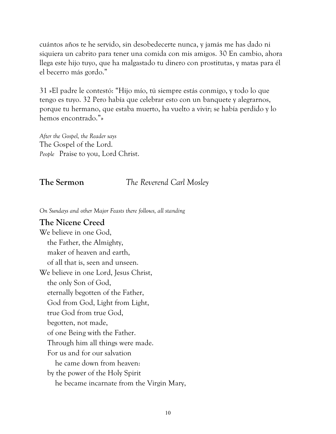cuántos años te he servido, sin desobedecerte nunca, y jamás me has dado ni siquiera un cabrito para tener una comida con mis amigos. 30 En cambio, ahora llega este hijo tuyo, que ha malgastado tu dinero con prostitutas, y matas para él el becerro más gordo."

31 »El padre le contestó: "Hijo mío, tú siempre estás conmigo, y todo lo que tengo es tuyo. 32 Pero había que celebrar esto con un banquete y alegrarnos, porque tu hermano, que estaba muerto, ha vuelto a vivir; se había perdido y lo hemos encontrado."»

*After the Gospel, the Reader says* The Gospel of the Lord. *People* Praise to you, Lord Christ.

#### **The Sermon** *The Reverend Carl Mosley*

*On Sundays and other Major Feasts there follows, all standing*

#### **The Nicene Creed**

We believe in one God, the Father, the Almighty, maker of heaven and earth, of all that is, seen and unseen. We believe in one Lord, Jesus Christ, the only Son of God, eternally begotten of the Father, God from God, Light from Light, true God from true God, begotten, not made, of one Being with the Father. Through him all things were made. For us and for our salvation he came down from heaven: by the power of the Holy Spirit

he became incarnate from the Virgin Mary,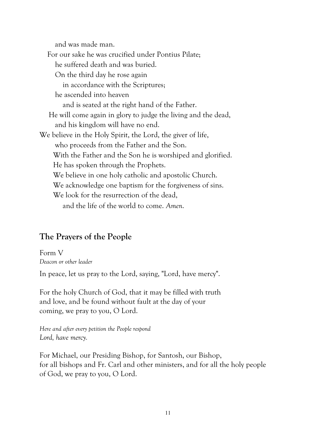and was made man. For our sake he was crucified under Pontius Pilate; he suffered death and was buried. On the third day he rose again in accordance with the Scriptures; he ascended into heaven and is seated at the right hand of the Father. He will come again in glory to judge the living and the dead, and his kingdom will have no end. We believe in the Holy Spirit, the Lord, the giver of life, who proceeds from the Father and the Son. With the Father and the Son he is worshiped and glorified. He has spoken through the Prophets. We believe in one holy catholic and apostolic Church. We acknowledge one baptism for the forgiveness of sins. We look for the resurrection of the dead, and the life of the world to come. *Amen*.

#### **The Prayers of the People**

Form V *Deacon or other leader* 

In peace, let us pray to the Lord, saying, "Lord, have mercy".

For the holy Church of God, that it may be filled with truth and love, and be found without fault at the day of your coming, we pray to you, O Lord.

*Here and after every petition the People respond Lord, have mercy.*

For Michael, our Presiding Bishop, for Santosh, our Bishop, for all bishops and Fr. Carl and other ministers, and for all the holy people of God, we pray to you, O Lord.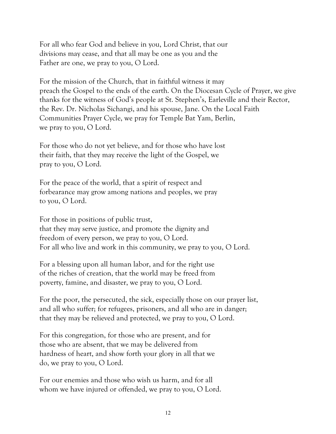For all who fear God and believe in you, Lord Christ, that our divisions may cease, and that all may be one as you and the Father are one, we pray to you, O Lord.

For the mission of the Church, that in faithful witness it may preach the Gospel to the ends of the earth. On the Diocesan Cycle of Prayer, we give thanks for the witness of God's people at St. Stephen's, Earleville and their Rector, the Rev. Dr. Nicholas Sichangi, and his spouse, Jane. On the Local Faith Communities Prayer Cycle, we pray for Temple Bat Yam, Berlin, we pray to you, O Lord.

For those who do not yet believe, and for those who have lost their faith, that they may receive the light of the Gospel, we pray to you, O Lord.

For the peace of the world, that a spirit of respect and forbearance may grow among nations and peoples, we pray to you, O Lord.

For those in positions of public trust, that they may serve justice, and promote the dignity and freedom of every person, we pray to you, O Lord. For all who live and work in this community, we pray to you, O Lord.

For a blessing upon all human labor, and for the right use of the riches of creation, that the world may be freed from poverty, famine, and disaster, we pray to you, O Lord.

For the poor, the persecuted, the sick, especially those on our prayer list, and all who suffer; for refugees, prisoners, and all who are in danger; that they may be relieved and protected, we pray to you, O Lord.

For this congregation, for those who are present, and for those who are absent, that we may be delivered from hardness of heart, and show forth your glory in all that we do, we pray to you, O Lord.

For our enemies and those who wish us harm, and for all whom we have injured or offended, we pray to you, O Lord.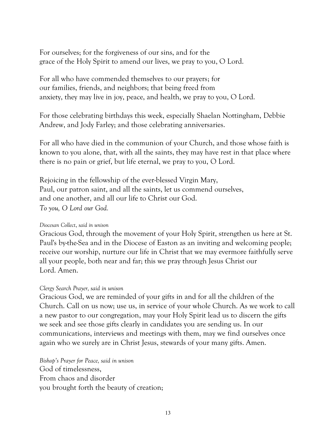For ourselves; for the forgiveness of our sins, and for the grace of the Holy Spirit to amend our lives, we pray to you, O Lord.

For all who have commended themselves to our prayers; for our families, friends, and neighbors; that being freed from anxiety, they may live in joy, peace, and health, we pray to you, O Lord.

For those celebrating birthdays this week, especially Shaelan Nottingham, Debbie Andrew, and Jody Farley; and those celebrating anniversaries.

For all who have died in the communion of your Church, and those whose faith is known to you alone, that, with all the saints, they may have rest in that place where there is no pain or grief, but life eternal, we pray to you, O Lord.

Rejoicing in the fellowship of the ever-blessed Virgin Mary, Paul, our patron saint, and all the saints, let us commend ourselves, and one another, and all our life to Christ our God. *To you, O Lord our God.*

#### *Diocesan Collect*, *said in unison*

Gracious God, through the movement of your Holy Spirit, strengthen us here at St. Paul's by-the-Sea and in the Diocese of Easton as an inviting and welcoming people; receive our worship, nurture our life in Christ that we may evermore faithfully serve all your people, both near and far; this we pray through Jesus Christ our Lord. Amen.

#### *Clergy Search Prayer, said in unison*

Gracious God, we are reminded of your gifts in and for all the children of the Church. Call on us now; use us, in service of your whole Church. As we work to call a new pastor to our congregation, may your Holy Spirit lead us to discern the gifts we seek and see those gifts clearly in candidates you are sending us. In our communications, interviews and meetings with them, may we find ourselves once again who we surely are in Christ Jesus, stewards of your many gifts. Amen.

*Bishop's Prayer for Peace, said in unison* God of timelessness, From chaos and disorder you brought forth the beauty of creation;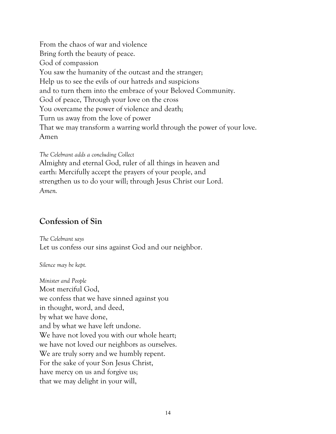From the chaos of war and violence Bring forth the beauty of peace. God of compassion You saw the humanity of the outcast and the stranger; Help us to see the evils of our hatreds and suspicions and to turn them into the embrace of your Beloved Community. God of peace, Through your love on the cross You overcame the power of violence and death; Turn us away from the love of power That we may transform a warring world through the power of your love. Amen

*The Celebrant adds a concluding Collect* Almighty and eternal God, ruler of all things in heaven and earth: Mercifully accept the prayers of your people, and strengthen us to do your will; through Jesus Christ our Lord. *Amen.*

#### **Confession of Sin**

*The Celebrant says* Let us confess our sins against God and our neighbor.

*Silence may be kept.*

*Minister and People* Most merciful God, we confess that we have sinned against you in thought, word, and deed, by what we have done, and by what we have left undone. We have not loved you with our whole heart; we have not loved our neighbors as ourselves. We are truly sorry and we humbly repent. For the sake of your Son Jesus Christ, have mercy on us and forgive us; that we may delight in your will,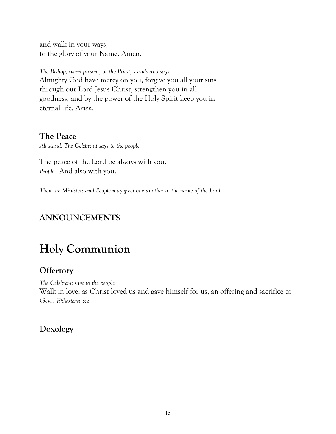and walk in your ways, to the glory of your Name. Amen.

*The Bishop, when present, or the Priest, stands and says* Almighty God have mercy on you, forgive you all your sins through our Lord Jesus Christ, strengthen you in all goodness, and by the power of the Holy Spirit keep you in eternal life. *Amen.*

#### **The Peace**

*All stand. The Celebrant says to the people*

The peace of the Lord be always with you. *People* And also with you.

*Then the Ministers and People may greet one another in the name of the Lord.*

### **ANNOUNCEMENTS**

## **Holy Communion**

#### **Offertory**

*The Celebrant says to the people* Walk in love, as Christ loved us and gave himself for us, an offering and sacrifice to God. *Ephesians 5:2*

#### **Doxology**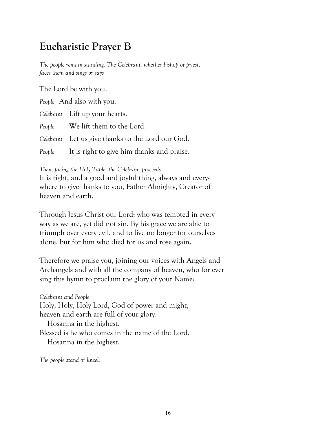### **Eucharistic Prayer B**

*The people remain standing. The Celebrant, whether bishop or priest, faces them and sings or says*

The Lord be with you.

*People* And also with you. *Celebrant* Lift up your hearts.

*People* We lift them to the Lord.

*Celebrant* Let us give thanks to the Lord our God.

*People* It is right to give him thanks and praise.

*Then, facing the Holy Table, the Celebrant proceeds*

It is right, and a good and joyful thing, always and everywhere to give thanks to you, Father Almighty, Creator of heaven and earth.

Through Jesus Christ our Lord; who was tempted in every way as we are, yet did not sin. By his grace we are able to triumph over every evil, and to live no longer for ourselves alone, but for him who died for us and rose again.

Therefore we praise you, joining our voices with Angels and Archangels and with all the company of heaven, who for ever sing this hymn to proclaim the glory of your Name:

*Celebrant and People* Holy, Holy, Holy Lord, God of power and might, heaven and earth are full of your glory. Hosanna in the highest. Blessed is he who comes in the name of the Lord. Hosanna in the highest.

*The people stand or kneel.*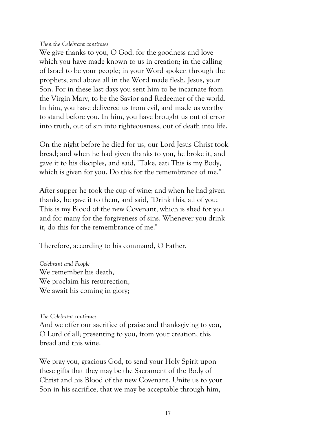*Then the Celebrant continues*

We give thanks to you, O God, for the goodness and love which you have made known to us in creation; in the calling of Israel to be your people; in your Word spoken through the prophets; and above all in the Word made flesh, Jesus, your Son. For in these last days you sent him to be incarnate from the Virgin Mary, to be the Savior and Redeemer of the world. In him, you have delivered us from evil, and made us worthy to stand before you. In him, you have brought us out of error into truth, out of sin into righteousness, out of death into life.

On the night before he died for us, our Lord Jesus Christ took bread; and when he had given thanks to you, he broke it, and gave it to his disciples, and said, "Take, eat: This is my Body, which is given for you. Do this for the remembrance of me."

After supper he took the cup of wine; and when he had given thanks, he gave it to them, and said, "Drink this, all of you: This is my Blood of the new Covenant, which is shed for you and for many for the forgiveness of sins. Whenever you drink it, do this for the remembrance of me."

Therefore, according to his command, O Father,

*Celebrant and People* We remember his death, We proclaim his resurrection, We await his coming in glory;

#### *The Celebrant continues*

And we offer our sacrifice of praise and thanksgiving to you, O Lord of all; presenting to you, from your creation, this bread and this wine.

We pray you, gracious God, to send your Holy Spirit upon these gifts that they may be the Sacrament of the Body of Christ and his Blood of the new Covenant. Unite us to your Son in his sacrifice, that we may be acceptable through him,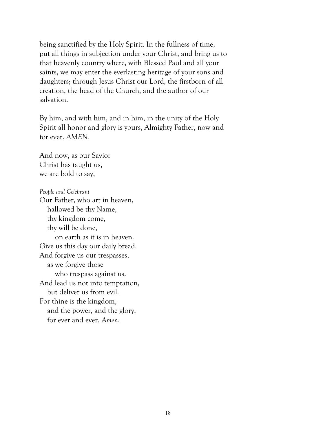being sanctified by the Holy Spirit. In the fullness of time, put all things in subjection under your Christ, and bring us to that heavenly country where, with Blessed Paul and all your saints, we may enter the everlasting heritage of your sons and daughters; through Jesus Christ our Lord, the firstborn of all creation, the head of the Church, and the author of our salvation.

By him, and with him, and in him, in the unity of the Holy Spirit all honor and glory is yours, Almighty Father, now and for ever. *AMEN.*

And now, as our Savior Christ has taught us, we are bold to say,

*People and Celebrant*

Our Father, who art in heaven, hallowed be thy Name, thy kingdom come, thy will be done, on earth as it is in heaven. Give us this day our daily bread. And forgive us our trespasses, as we forgive those who trespass against us. And lead us not into temptation, but deliver us from evil. For thine is the kingdom, and the power, and the glory, for ever and ever. *Amen.*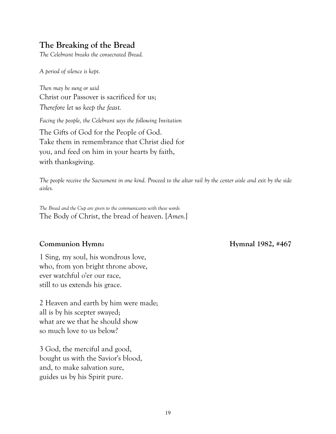#### **The Breaking of the Bread**

*The Celebrant breaks the consecrated Bread.*

*A period of silence is kept.*

*Then may be sung or said* Christ our Passover is sacrificed for us; *Therefore let us keep the feast.*

*Facing the people, the Celebrant says the following Invitation*

The Gifts of God for the People of God. Take them in remembrance that Christ died for you, and feed on him in your hearts by faith, with thanksgiving.

*The people receive the Sacrament in one kind. Proceed to the altar rail by the center aisle and exit by the side aisles.*

*The Bread and the Cup are given to the communicants with these words* The Body of Christ, the bread of heaven. [*Amen.*]

#### **Communion Hymn: Hymnal 1982, #467**

1 Sing, my soul, his wondrous love, who, from yon bright throne above, ever watchful o'er our race, still to us extends his grace.

2 Heaven and earth by him were made; all is by his scepter swayed; what are we that he should show so much love to us below?

3 God, the merciful and good, bought us with the Savior's blood, and, to make salvation sure, guides us by his Spirit pure.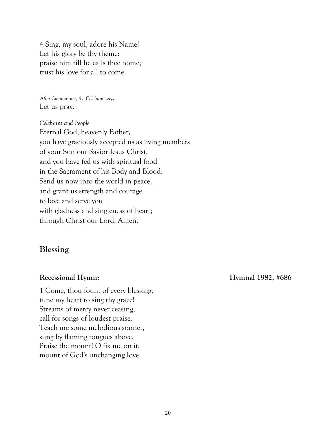4 Sing, my soul, adore his Name! Let his glory be thy theme: praise him till he calls thee home; trust his love for all to come.

*After Communion, the Celebrant says* Let us pray.

*Celebrant and People* Eternal God, heavenly Father, you have graciously accepted us as living members of your Son our Savior Jesus Christ, and you have fed us with spiritual food in the Sacrament of his Body and Blood. Send us now into the world in peace, and grant us strength and courage to love and serve you with gladness and singleness of heart; through Christ our Lord. Amen.

#### **Blessing**

1 Come, thou fount of every blessing, tune my heart to sing thy grace! Streams of mercy never ceasing, call for songs of loudest praise. Teach me some melodious sonnet, sung by flaming tongues above. Praise the mount! O fix me on it, mount of God's unchanging love.

**Recessional Hymn: Hymnal 1982, #686**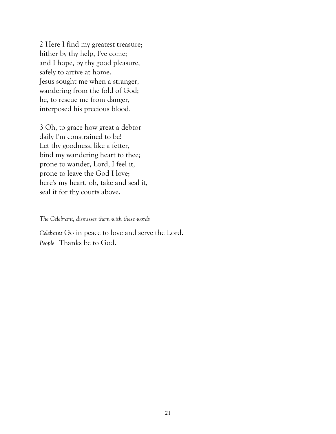2 Here I find my greatest treasure; hither by thy help, I've come; and I hope, by thy good pleasure, safely to arrive at home. Jesus sought me when a stranger, wandering from the fold of God; he, to rescue me from danger, interposed his precious blood.

3 Oh, to grace how great a debtor daily I'm constrained to be! Let thy goodness, like a fetter, bind my wandering heart to thee; prone to wander, Lord, I feel it, prone to leave the God I love; here's my heart, oh, take and seal it, seal it for thy courts above.

*The Celebrant, dismisses them with these words*

*Celebrant* Go in peace to love and serve the Lord. *People* Thanks be to God.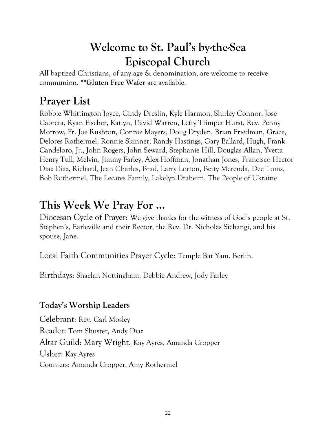## **Welcome to St. Paul's by-the-Sea Episcopal Church**

All baptized Christians, of any age & denomination, are welcome to receive communion. **\*\*Gluten Free Wafer** are available.

### **Prayer List**

Robbie Whittington Joyce, Cindy Dreslin, Kyle Harmon, Shirley Connor, Jose Cabrera, Ryan Fischer, Katlyn, David Warren, Letty Trimper Hurst, Rev. Penny Morrow, Fr. Joe Rushton, Connie Mayers, Doug Dryden, Brian Friedman, Grace, Delores Rothermel, Ronnie Skinner, Randy Hastings, Gary Ballard, Hugh, Frank Candeloro, Jr., John Rogers, John Seward, Stephanie Hill, Douglas Allan, Yvetta Henry Tull, Melvin, Jimmy Farley, Alex Hoffman, Jonathan Jones, Francisco Hector Diaz Diaz, Richard, Jean Charles, Brad, Larry Lorton, Betty Merenda, Dee Toms, Bob Rothermel, The Lecates Family, Lakelyn Draheim, The People of Ukraine

### **This Week We Pray For ...**

Diocesan Cycle of Prayer: We give thanks for the witness of God's people at St. Stephen's, Earleville and their Rector, the Rev. Dr. Nicholas Sichangi, and his spouse, Jane.

Local Faith Communities Prayer Cycle: Temple Bat Yam, Berlin.

Birthdays: Shaelan Nottingham, Debbie Andrew, Jody Farley

### **Today's Worship Leaders**

Celebrant: Rev. Carl Mosley Reader: Tom Shuster, Andy Diaz Altar Guild: Mary Wright, Kay Ayres, Amanda Cropper Usher: Kay Ayres Counters: Amanda Cropper, Amy Rothermel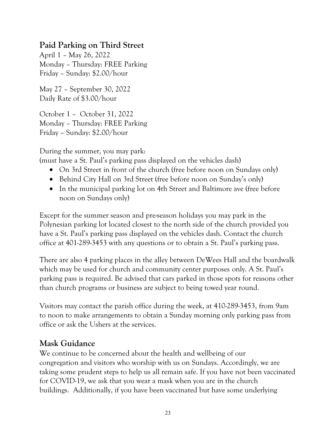#### **Paid Parking on Third Street**

April 1 – May 26, 2022 Monday – Thursday: FREE Parking Friday – Sunday: \$2.00/hour

May 27 – September 30, 2022 Daily Rate of \$3.00/hour

October 1 – October 31, 2022 Monday – Thursday: FREE Parking Friday – Sunday: \$2.00/hour

During the summer, you may park:

(must have a St. Paul's parking pass displayed on the vehicles dash)

- On 3rd Street in front of the church (free before noon on Sundays only)
- Behind City Hall on 3rd Street (free before noon on Sunday's only)
- In the municipal parking lot on 4th Street and Baltimore ave (free before noon on Sundays only)

Except for the summer season and pre-season holidays you may park in the Polynesian parking lot located closest to the north side of the church provided you have a St. Paul's parking pass displayed on the vehicles dash. Contact the church office at 401-289-3453 with any questions or to obtain a St. Paul's parking pass.

There are also 4 parking places in the alley between DeWees Hall and the boardwalk which may be used for church and community center purposes only. A St. Paul's parking pass is required. Be advised that cars parked in those spots for reasons other than church programs or business are subject to being towed year round.

Visitors may contact the parish office during the week, at 410-289-3453, from 9am to noon to make arrangements to obtain a Sunday morning only parking pass from office or ask the Ushers at the services.

### **Mask Guidance**

We continue to be concerned about the health and wellbeing of our congregation and visitors who worship with us on Sundays. Accordingly, we are taking some prudent steps to help us all remain safe. If you have not been vaccinated for COVID-19, we ask that you wear a mask when you are in the church buildings. Additionally, if you have been vaccinated but have some underlying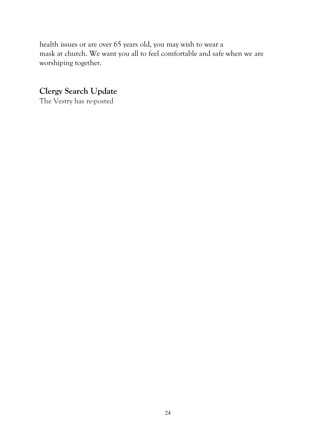health issues or are over 65 years old, you may wish to wear a mask at church. We want you all to feel comfortable and safe when we are worshiping together.

### **Clergy Search Update**

The Vestry has re-posted